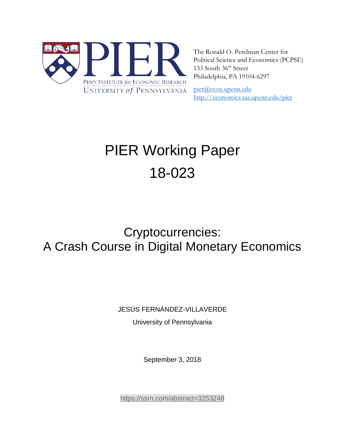

The Ronald O. Perelman Center for Political Science and Economics (PCPSE) 133 South 36<sup>th</sup> Street Philadelphia, PA 19104-6297

[pier@econ.upenn.edu](mailto:pier@econ.upenn.edu)  <http://economics.sas.upenn.edu/pier>

# PIER Working Paper 18-023

## Cryptocurrencies: A Crash Course in Digital Monetary Economics

JESÚS FERNÁNDEZ-VILLAVERDE

University of Pennsylvania

September 3, 2018

<https://ssrn.com/abstract=3253248>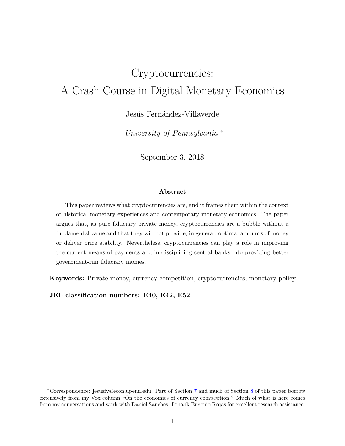### Cryptocurrencies: A Crash Course in Digital Monetary Economics

Jesús Fernández-Villaverde

University of Pennsylvania <sup>∗</sup>

September 3, 2018

#### Abstract

This paper reviews what cryptocurrencies are, and it frames them within the context of historical monetary experiences and contemporary monetary economics. The paper argues that, as pure fiduciary private money, cryptocurrencies are a bubble without a fundamental value and that they will not provide, in general, optimal amounts of money or deliver price stability. Nevertheless, cryptocurrencies can play a role in improving the current means of payments and in disciplining central banks into providing better government-run fiduciary monies.

Keywords: Private money, currency competition, cryptocurrencies, monetary policy

JEL classification numbers: E40, E42, E52

<sup>∗</sup>Correspondence: jesusfv@econ.upenn.edu. Part of Section [7](#page-13-0) and much of Section [8](#page-16-0) of this paper borrow extensively from my Vox column "On the economics of currency competition." Much of what is here comes from my conversations and work with Daniel Sanches. I thank Eugenio Rojas for excellent research assistance.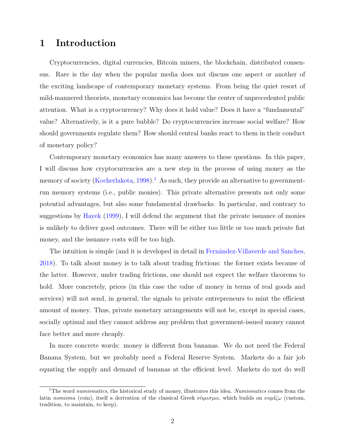#### 1 Introduction

Cryptocurrencies, digital currencies, Bitcoin miners, the blockchain, distributed consensus. Rare is the day when the popular media does not discuss one aspect or another of the exciting landscape of contemporary monetary systems. From being the quiet resort of mild-mannered theorists, monetary economics has become the center of unprecedented public attention. What is a cryptocurrency? Why does it hold value? Does it have a "fundamental" value? Alternatively, is it a pure bubble? Do cryptocurrencies increase social welfare? How should governments regulate them? How should central banks react to them in their conduct of monetary policy?

Contemporary monetary economics has many answers to these questions. In this paper, I will discuss how cryptocurrencies are a new step in the process of using money as the memory of society [\(Kocherlakota,](#page-22-0) [1998\)](#page-22-0).<sup>[1](#page-2-0)</sup> As such, they provide an alternative to governmentrun memory systems (i.e., public monies). This private alternative presents not only some potential advantages, but also some fundamental drawbacks. In particular, and contrary to suggestions by [Hayek](#page-21-0) [\(1999\)](#page-21-0), I will defend the argument that the private issuance of monies is unlikely to deliver good outcomes. There will be either too little or too much private fiat money, and the issuance costs will be too high.

The intuition is simple (and it is developed in detail in Fernandez-Villaverde and Sanches, [2018\)](#page-21-1). To talk about money is to talk about trading frictions: the former exists because of the latter. However, under trading frictions, one should not expect the welfare theorems to hold. More concretely, prices (in this case the value of money in terms of real goods and services) will not send, in general, the signals to private entrepreneurs to mint the efficient amount of money. Thus, private monetary arrangements will not be, except in special cases, socially optimal and they cannot address any problem that government-issued money cannot face better and more cheaply.

In more concrete words: money is different from bananas. We do not need the Federal Banana System, but we probably need a Federal Reserve System. Markets do a fair job equating the supply and demand of bananas at the efficient level. Markets do not do well

<span id="page-2-0"></span><sup>&</sup>lt;sup>1</sup>The word numismatics, the historical study of money, illustrates this idea. Numismatics comes from the latin nomisma (coin), itself a derivation of the classical Greek  $\nu \partial \mu \sigma \mu \alpha$ , which builds on  $\nu \partial \mu \zeta \omega$  (custom, tradition, to maintain, to keep).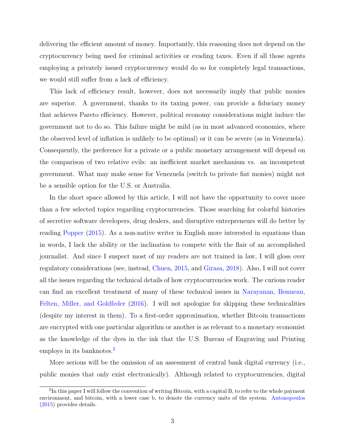delivering the efficient amount of money. Importantly, this reasoning does not depend on the cryptocurrency being used for criminal activities or evading taxes. Even if all those agents employing a privately issued cryptocurrency would do so for completely legal transactions, we would still suffer from a lack of efficiency.

This lack of efficiency result, however, does not necessarily imply that public monies are superior. A government, thanks to its taxing power, can provide a fiduciary money that achieves Pareto efficiency. However, political economy considerations might induce the government not to do so. This failure might be mild (as in most advanced economies, where the observed level of inflation is unlikely to be optimal) or it can be severe (as in Venezuela). Consequently, the preference for a private or a public monetary arrangement will depend on the comparison of two relative evils: an inefficient market mechanism vs. an incompetent government. What may make sense for Venezuela (switch to private fiat monies) might not be a sensible option for the U.S. or Australia.

In the short space allowed by this article, I will not have the opportunity to cover more than a few selected topics regarding cryptocurrencies. Those searching for colorful histories of secretive software developers, drug dealers, and disruptive entrepreneurs will do better by reading [Popper](#page-22-1) [\(2015\)](#page-22-1). As a non-native writer in English more interested in equations than in words, I lack the ability or the inclination to compete with the flair of an accomplished journalist. And since I suspect most of my readers are not trained in law, I will gloss over regulatory considerations (see, instead, [Chuen,](#page-20-0) [2015,](#page-20-0) and [Girasa,](#page-21-2) [2018\)](#page-21-2). Also, I will not cover all the issues regarding the technical details of how cryptocurrencies work. The curious reader can find an excellent treatment of many of these technical issues in [Narayanan, Bonneau,](#page-22-2) [Felten, Miller, and Goldfeder](#page-22-2) [\(2016\)](#page-22-2). I will not apologize for skipping these technicalities (despite my interest in them). To a first-order approximation, whether Bitcoin transactions are encrypted with one particular algorithm or another is as relevant to a monetary economist as the knowledge of the dyes in the ink that the U.S. Bureau of Engraving and Printing employs in its banknotes.<sup>[2](#page-3-0)</sup>

More serious will be the omission of an assessment of central bank digital currency (i.e., public monies that only exist electronically). Although related to cryptocurrencies, digital

<span id="page-3-0"></span> ${}^{2}$ In this paper I will follow the convention of writing Bitcoin, with a capital B, to refer to the whole payment environment, and bitcoin, with a lower case b, to denote the currency units of the system. [Antonopoulos](#page-20-1) [\(2015\)](#page-20-1) provides details.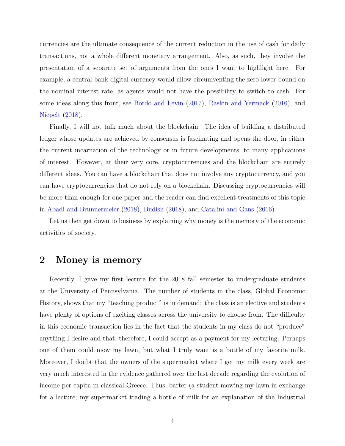currencies are the ultimate consequence of the current reduction in the use of cash for daily transactions, not a whole different monetary arrangement. Also, as such, they involve the presentation of a separate set of arguments from the ones I want to highlight here. For example, a central bank digital currency would allow circumventing the zero lower bound on the nominal interest rate, as agents would not have the possibility to switch to cash. For some ideas along this front, see [Bordo and Levin](#page-20-2) [\(2017\)](#page-20-2), [Raskin and Yermack](#page-22-3) [\(2016\)](#page-22-3), and [Niepelt](#page-22-4) [\(2018\)](#page-22-4).

Finally, I will not talk much about the blockchain. The idea of building a distributed ledger whose updates are achieved by consensus is fascinating and opens the door, in either the current incarnation of the technology or in future developments, to many applications of interest. However, at their very core, cryptocurrencies and the blockchain are entirely different ideas. You can have a blockchain that does not involve any cryptocurrency, and you can have cryptocurrencies that do not rely on a blockchain. Discussing cryptocurrencies will be more than enough for one paper and the reader can find excellent treatments of this topic in [Abadi and Brunnermeier](#page-20-3) [\(2018\)](#page-20-3), [Budish](#page-20-4) [\(2018\)](#page-20-4), and [Catalini and Gans](#page-20-5) [\(2016\)](#page-20-5).

Let us then get down to business by explaining why money is the memory of the economic activities of society.

#### 2 Money is memory

Recently, I gave my first lecture for the 2018 fall semester to undergraduate students at the University of Pennsylvania. The number of students in the class, Global Economic History, shows that my "teaching product" is in demand: the class is an elective and students have plenty of options of exciting classes across the university to choose from. The difficulty in this economic transaction lies in the fact that the students in my class do not "produce" anything I desire and that, therefore, I could accept as a payment for my lecturing. Perhaps one of them could mow my lawn, but what I truly want is a bottle of my favorite milk. Moreover, I doubt that the owners of the supermarket where I get my milk every week are very much interested in the evidence gathered over the last decade regarding the evolution of income per capita in classical Greece. Thus, barter (a student mowing my lawn in exchange for a lecture; my supermarket trading a bottle of milk for an explanation of the Industrial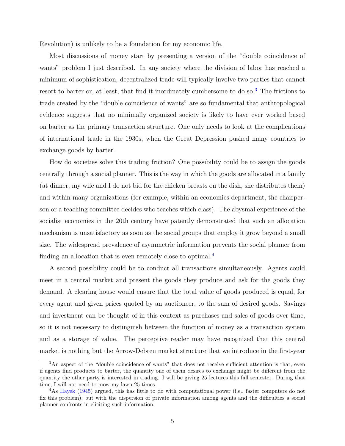Revolution) is unlikely to be a foundation for my economic life.

Most discussions of money start by presenting a version of the "double coincidence of wants" problem I just described. In any society where the division of labor has reached a minimum of sophistication, decentralized trade will typically involve two parties that cannot resort to barter or, at least, that find it inordinately cumbersome to do so.<sup>[3](#page-5-0)</sup> The frictions to trade created by the "double coincidence of wants" are so fundamental that anthropological evidence suggests that no minimally organized society is likely to have ever worked based on barter as the primary transaction structure. One only needs to look at the complications of international trade in the 1930s, when the Great Depression pushed many countries to exchange goods by barter.

How do societies solve this trading friction? One possibility could be to assign the goods centrally through a social planner. This is the way in which the goods are allocated in a family (at dinner, my wife and I do not bid for the chicken breasts on the dish, she distributes them) and within many organizations (for example, within an economics department, the chairperson or a teaching committee decides who teaches which class). The abysmal experience of the socialist economies in the 20th century have patently demonstrated that such an allocation mechanism is unsatisfactory as soon as the social groups that employ it grow beyond a small size. The widespread prevalence of asymmetric information prevents the social planner from finding an allocation that is even remotely close to optimal.<sup>[4](#page-5-1)</sup>

A second possibility could be to conduct all transactions simultaneously. Agents could meet in a central market and present the goods they produce and ask for the goods they demand. A clearing house would ensure that the total value of goods produced is equal, for every agent and given prices quoted by an auctioneer, to the sum of desired goods. Savings and investment can be thought of in this context as purchases and sales of goods over time, so it is not necessary to distinguish between the function of money as a transaction system and as a storage of value. The perceptive reader may have recognized that this central market is nothing but the Arrow-Debreu market structure that we introduce in the first-year

<span id="page-5-0"></span><sup>&</sup>lt;sup>3</sup>An aspect of the "double coincidence of wants" that does not receive sufficient attention is that, even if agents find products to barter, the quantity one of them desires to exchange might be different from the quantity the other party is interested in trading. I will be giving 25 lectures this fall semester. During that time, I will not need to mow my lawn 25 times.

<span id="page-5-1"></span><sup>&</sup>lt;sup>4</sup>As [Hayek](#page-21-3) [\(1945\)](#page-21-3) argued, this has little to do with computational power (i.e., faster computers do not fix this problem), but with the dispersion of private information among agents and the difficulties a social planner confronts in eliciting such information.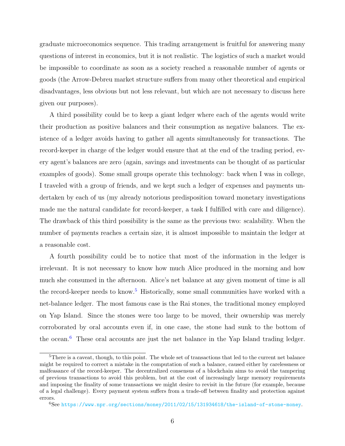graduate microeconomics sequence. This trading arrangement is fruitful for answering many questions of interest in economics, but it is not realistic. The logistics of such a market would be impossible to coordinate as soon as a society reached a reasonable number of agents or goods (the Arrow-Debreu market structure suffers from many other theoretical and empirical disadvantages, less obvious but not less relevant, but which are not necessary to discuss here given our purposes).

A third possibility could be to keep a giant ledger where each of the agents would write their production as positive balances and their consumption as negative balances. The existence of a ledger avoids having to gather all agents simultaneously for transactions. The record-keeper in charge of the ledger would ensure that at the end of the trading period, every agent's balances are zero (again, savings and investments can be thought of as particular examples of goods). Some small groups operate this technology: back when I was in college, I traveled with a group of friends, and we kept such a ledger of expenses and payments undertaken by each of us (my already notorious predisposition toward monetary investigations made me the natural candidate for record-keeper, a task I fulfilled with care and diligence). The drawback of this third possibility is the same as the previous two: scalability. When the number of payments reaches a certain size, it is almost impossible to maintain the ledger at a reasonable cost.

A fourth possibility could be to notice that most of the information in the ledger is irrelevant. It is not necessary to know how much Alice produced in the morning and how much she consumed in the afternoon. Alice's net balance at any given moment of time is all the record-keeper needs to know.<sup>[5](#page-6-0)</sup> Historically, some small communities have worked with a net-balance ledger. The most famous case is the Rai stones, the traditional money employed on Yap Island. Since the stones were too large to be moved, their ownership was merely corroborated by oral accounts even if, in one case, the stone had sunk to the bottom of the ocean.<sup>[6](#page-6-1)</sup> These oral accounts are just the net balance in the Yap Island trading ledger.

<span id="page-6-0"></span><sup>&</sup>lt;sup>5</sup>There is a caveat, though, to this point. The whole set of transactions that led to the current net balance might be required to correct a mistake in the computation of such a balance, caused either by carelessness or malfeasance of the record-keeper. The decentralized consensus of a blockchain aims to avoid the tampering of previous transactions to avoid this problem, but at the cost of increasingly large memory requirements and imposing the finality of some transactions we might desire to revisit in the future (for example, because of a legal challenge). Every payment system suffers from a trade-off between finality and protection against errors.

<span id="page-6-1"></span><sup>6</sup>See <https://www.npr.org/sections/money/2011/02/15/131934618/the-island-of-stone-money>.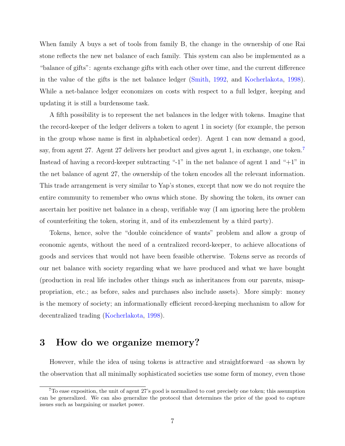When family A buys a set of tools from family B, the change in the ownership of one Rai stone reflects the new net balance of each family. This system can also be implemented as a "balance of gifts": agents exchange gifts with each other over time, and the current difference in the value of the gifts is the net balance ledger [\(Smith,](#page-23-0) [1992,](#page-23-0) and [Kocherlakota,](#page-22-0) [1998\)](#page-22-0). While a net-balance ledger economizes on costs with respect to a full ledger, keeping and updating it is still a burdensome task.

A fifth possibility is to represent the net balances in the ledger with tokens. Imagine that the record-keeper of the ledger delivers a token to agent 1 in society (for example, the person in the group whose name is first in alphabetical order). Agent 1 can now demand a good, say, from agent 2[7](#page-7-0). Agent 27 delivers her product and gives agent 1, in exchange, one token.<sup>7</sup> Instead of having a record-keeper subtracting "-1" in the net balance of agent 1 and "+1" in the net balance of agent 27, the ownership of the token encodes all the relevant information. This trade arrangement is very similar to Yap's stones, except that now we do not require the entire community to remember who owns which stone. By showing the token, its owner can ascertain her positive net balance in a cheap, verifiable way (I am ignoring here the problem of counterfeiting the token, storing it, and of its embezzlement by a third party).

Tokens, hence, solve the "double coincidence of wants" problem and allow a group of economic agents, without the need of a centralized record-keeper, to achieve allocations of goods and services that would not have been feasible otherwise. Tokens serve as records of our net balance with society regarding what we have produced and what we have bought (production in real life includes other things such as inheritances from our parents, misappropriation, etc.; as before, sales and purchases also include assets). More simply: money is the memory of society; an informationally efficient record-keeping mechanism to allow for decentralized trading [\(Kocherlakota,](#page-22-0) [1998\)](#page-22-0).

#### 3 How do we organize memory?

However, while the idea of using tokens is attractive and straightforward –as shown by the observation that all minimally sophisticated societies use some form of money, even those

<span id="page-7-0"></span> ${}^{7}$ To ease exposition, the unit of agent 27's good is normalized to cost precisely one token; this assumption can be generalized. We can also generalize the protocol that determines the price of the good to capture issues such as bargaining or market power.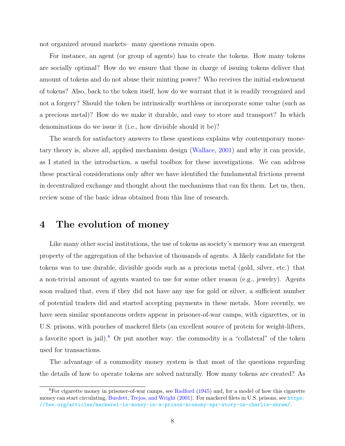not organized around markets– many questions remain open.

For instance, an agent (or group of agents) has to create the tokens. How many tokens are socially optimal? How do we ensure that those in charge of issuing tokens deliver that amount of tokens and do not abuse their minting power? Who receives the initial endowment of tokens? Also, back to the token itself, how do we warrant that it is readily recognized and not a forgery? Should the token be intrinsically worthless or incorporate some value (such as a precious metal)? How do we make it durable, and easy to store and transport? In which denominations do we issue it (i.e., how divisible should it be)?

The search for satisfactory answers to these questions explains why contemporary monetary theory is, above all, applied mechanism design [\(Wallace,](#page-23-1) [2001\)](#page-23-1) and why it can provide, as I stated in the introduction, a useful toolbox for these investigations. We can address these practical considerations only after we have identified the fundamental frictions present in decentralized exchange and thought about the mechanisms that can fix them. Let us, then, review some of the basic ideas obtained from this line of research.

#### 4 The evolution of money

Like many other social institutions, the use of tokens as society's memory was an emergent property of the aggregation of the behavior of thousands of agents. A likely candidate for the tokens was to use durable, divisible goods such as a precious metal (gold, silver, etc.) that a non-trivial amount of agents wanted to use for some other reason (e.g., jewelry). Agents soon realized that, even if they did not have any use for gold or silver, a sufficient number of potential traders did and started accepting payments in these metals. More recently, we have seen similar spontaneous orders appear in prisoner-of-war camps, with cigarettes, or in U.S. prisons, with pouches of mackerel filets (an excellent source of protein for weight-lifters, a favorite sport in jail).<sup>[8](#page-8-0)</sup> Or put another way: the commodity is a "collateral" of the token used for transactions.

The advantage of a commodity money system is that most of the questions regarding the details of how to operate tokens are solved naturally. How many tokens are created? As

<span id="page-8-0"></span><sup>8</sup>For cigarette money in prisoner-of-war camps, see [Radford](#page-22-5) [\(1945\)](#page-22-5) and, for a model of how this cigarette money can start circulating, [Burdett, Trejos, and Wright](#page-20-6) [\(2001\)](#page-20-6). For mackerel filets in U.S. prisons, see [https:](https://fee.org/articles/mackerel-is-money-in-a-prison-economy-npr-story-on-charlie-shrem/) [//fee.org/articles/mackerel-is-money-in-a-prison-economy-npr-story-on-charlie-shrem/](https://fee.org/articles/mackerel-is-money-in-a-prison-economy-npr-story-on-charlie-shrem/).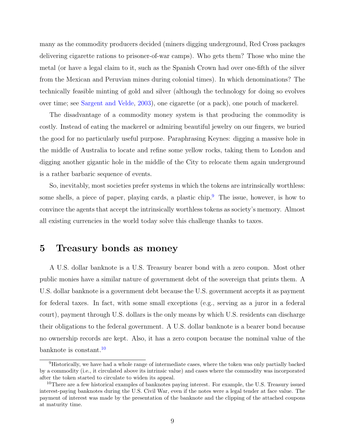many as the commodity producers decided (miners digging underground, Red Cross packages delivering cigarette rations to prisoner-of-war camps). Who gets them? Those who mine the metal (or have a legal claim to it, such as the Spanish Crown had over one-fifth of the silver from the Mexican and Peruvian mines during colonial times). In which denominations? The technically feasible minting of gold and silver (although the technology for doing so evolves over time; see [Sargent and Velde,](#page-22-6) [2003\)](#page-22-6), one cigarette (or a pack), one pouch of mackerel.

The disadvantage of a commodity money system is that producing the commodity is costly. Instead of eating the mackerel or admiring beautiful jewelry on our fingers, we buried the good for no particularly useful purpose. Paraphrasing Keynes: digging a massive hole in the middle of Australia to locate and refine some yellow rocks, taking them to London and digging another gigantic hole in the middle of the City to relocate them again underground is a rather barbaric sequence of events.

So, inevitably, most societies prefer systems in which the tokens are intrinsically worthless: some shells, a piece of paper, playing cards, a plastic chip.<sup>[9](#page-9-0)</sup> The issue, however, is how to convince the agents that accept the intrinsically worthless tokens as society's memory. Almost all existing currencies in the world today solve this challenge thanks to taxes.

#### 5 Treasury bonds as money

A U.S. dollar banknote is a U.S. Treasury bearer bond with a zero coupon. Most other public monies have a similar nature of government debt of the sovereign that prints them. A U.S. dollar banknote is a government debt because the U.S. government accepts it as payment for federal taxes. In fact, with some small exceptions (e.g., serving as a juror in a federal court), payment through U.S. dollars is the only means by which U.S. residents can discharge their obligations to the federal government. A U.S. dollar banknote is a bearer bond because no ownership records are kept. Also, it has a zero coupon because the nominal value of the banknote is constant.<sup>[10](#page-9-1)</sup>

<span id="page-9-0"></span><sup>9</sup>Historically, we have had a whole range of intermediate cases, where the token was only partially backed by a commodity (i.e., it circulated above its intrinsic value) and cases where the commodity was incorporated after the token started to circulate to widen its appeal.

<span id="page-9-1"></span> $10$ There are a few historical examples of banknotes paying interest. For example, the U.S. Treasury issued interest-paying banknotes during the U.S. Civil War, even if the notes were a legal tender at face value. The payment of interest was made by the presentation of the banknote and the clipping of the attached coupons at maturity time.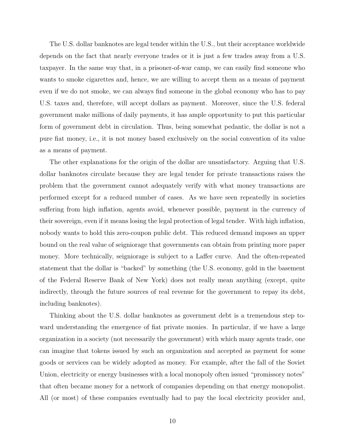The U.S. dollar banknotes are legal tender within the U.S., but their acceptance worldwide depends on the fact that nearly everyone trades or it is just a few trades away from a U.S. taxpayer. In the same way that, in a prisoner-of-war camp, we can easily find someone who wants to smoke cigarettes and, hence, we are willing to accept them as a means of payment even if we do not smoke, we can always find someone in the global economy who has to pay U.S. taxes and, therefore, will accept dollars as payment. Moreover, since the U.S. federal government make millions of daily payments, it has ample opportunity to put this particular form of government debt in circulation. Thus, being somewhat pedantic, the dollar is not a pure fiat money, i.e., it is not money based exclusively on the social convention of its value as a means of payment.

The other explanations for the origin of the dollar are unsatisfactory. Arguing that U.S. dollar banknotes circulate because they are legal tender for private transactions raises the problem that the government cannot adequately verify with what money transactions are performed except for a reduced number of cases. As we have seen repeatedly in societies suffering from high inflation, agents avoid, whenever possible, payment in the currency of their sovereign, even if it means losing the legal protection of legal tender. With high inflation, nobody wants to hold this zero-coupon public debt. This reduced demand imposes an upper bound on the real value of seigniorage that governments can obtain from printing more paper money. More technically, seigniorage is subject to a Laffer curve. And the often-repeated statement that the dollar is "backed" by something (the U.S. economy, gold in the basement of the Federal Reserve Bank of New York) does not really mean anything (except, quite indirectly, through the future sources of real revenue for the government to repay its debt, including banknotes).

Thinking about the U.S. dollar banknotes as government debt is a tremendous step toward understanding the emergence of fiat private monies. In particular, if we have a large organization in a society (not necessarily the government) with which many agents trade, one can imagine that tokens issued by such an organization and accepted as payment for some goods or services can be widely adopted as money. For example, after the fall of the Soviet Union, electricity or energy businesses with a local monopoly often issued "promissory notes" that often became money for a network of companies depending on that energy monopolist. All (or most) of these companies eventually had to pay the local electricity provider and,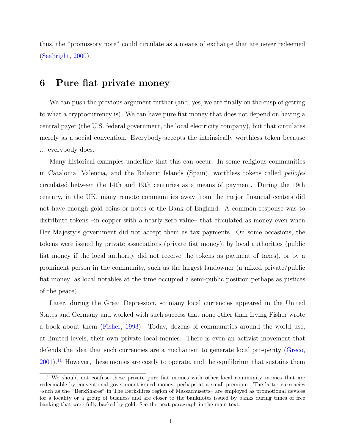thus, the "promissory note" could circulate as a means of exchange that are never redeemed [\(Seabright,](#page-23-2) [2000\)](#page-23-2).

#### 6 Pure fiat private money

We can push the previous argument further (and, yes, we are finally on the cusp of getting to what a cryptocurrency is). We can have pure fiat money that does not depend on having a central payer (the U.S. federal government, the local electricity company), but that circulates merely as a social convention. Everybody accepts the intrinsically worthless token because ... everybody does.

Many historical examples underline that this can occur. In some religious communities in Catalonia, Valencia, and the Balearic Islands (Spain), worthless tokens called pellofes circulated between the 14th and 19th centuries as a means of payment. During the 19th century, in the UK, many remote communities away from the major financial centers did not have enough gold coins or notes of the Bank of England. A common response was to distribute tokens –in copper with a nearly zero value– that circulated as money even when Her Majesty's government did not accept them as tax payments. On some occasions, the tokens were issued by private associations (private fiat money), by local authorities (public fiat money if the local authority did not receive the tokens as payment of taxes), or by a prominent person in the community, such as the largest landowner (a mixed private/public fiat money; as local notables at the time occupied a semi-public position perhaps as justices of the peace).

Later, during the Great Depression, so many local currencies appeared in the United States and Germany and worked with such success that none other than Irving Fisher wrote a book about them [\(Fisher,](#page-21-4) [1993\)](#page-21-4). Today, dozens of communities around the world use, at limited levels, their own private local monies. There is even an activist movement that defends the idea that such currencies are a mechanism to generate local prosperity [\(Greco,](#page-21-5)  $2001$ <sup>[11](#page-11-0)</sup> However, these monies are costly to operate, and the equilibrium that sustains them

<span id="page-11-0"></span><sup>11</sup>We should not confuse these private pure fiat monies with other local community monies that are redeemable by conventional government-issued money, perhaps at a small premium. The latter currencies –such as the "BerkShares" in The Berkshires region of Massachusetts– are employed as promotional devices for a locality or a group of business and are closer to the banknotes issued by banks during times of free banking that were fully backed by gold. See the next paragraph in the main text.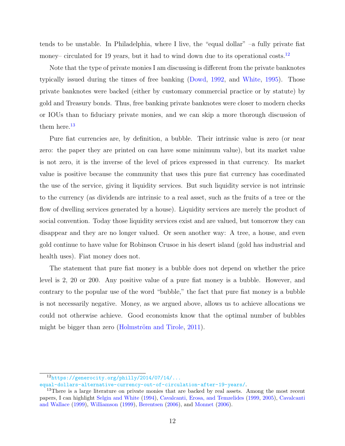tends to be unstable. In Philadelphia, where I live, the "equal dollar" –a fully private fiat money– circulated for 19 years, but it had to wind down due to its operational costs.<sup>[12](#page-12-0)</sup>

Note that the type of private monies I am discussing is different from the private banknotes typically issued during the times of free banking [\(Dowd,](#page-21-6) [1992,](#page-21-6) and [White,](#page-23-3) [1995\)](#page-23-3). Those private banknotes were backed (either by customary commercial practice or by statute) by gold and Treasury bonds. Thus, free banking private banknotes were closer to modern checks or IOUs than to fiduciary private monies, and we can skip a more thorough discussion of them here.<sup>[13](#page-12-1)</sup>

Pure fiat currencies are, by definition, a bubble. Their intrinsic value is zero (or near zero: the paper they are printed on can have some minimum value), but its market value is not zero, it is the inverse of the level of prices expressed in that currency. Its market value is positive because the community that uses this pure fiat currency has coordinated the use of the service, giving it liquidity services. But such liquidity service is not intrinsic to the currency (as dividends are intrinsic to a real asset, such as the fruits of a tree or the flow of dwelling services generated by a house). Liquidity services are merely the product of social convention. Today those liquidity services exist and are valued, but tomorrow they can disappear and they are no longer valued. Or seen another way: A tree, a house, and even gold continue to have value for Robinson Crusoe in his desert island (gold has industrial and health uses). Fiat money does not.

The statement that pure fiat money is a bubble does not depend on whether the price level is 2, 20 or 200. Any positive value of a pure fiat money is a bubble. However, and contrary to the popular use of the word "bubble," the fact that pure fiat money is a bubble is not necessarily negative. Money, as we argued above, allows us to achieve allocations we could not otherwise achieve. Good economists know that the optimal number of bubbles might be bigger than zero (Holmström and Tirole, [2011\)](#page-21-7).

<span id="page-12-0"></span><sup>12</sup><https://generocity.org/philly/2014/07/14/...>

<equal-dollars-alternative-currency-out-of-circulation-after-19-years/>.

<span id="page-12-1"></span><sup>&</sup>lt;sup>13</sup>There is a large literature on private monies that are backed by real assets. Among the most recent papers, I can highlight [Selgin and White](#page-23-4) [\(1994\)](#page-23-4), [Cavalcanti, Erosa, and Temzelides](#page-20-7) [\(1999,](#page-20-7) [2005\)](#page-20-8), [Cavalcanti](#page-20-9) [and Wallace](#page-20-9) [\(1999\)](#page-20-9), [Williamson](#page-23-5) [\(1999\)](#page-23-5), [Berentsen](#page-20-10) [\(2006\)](#page-20-10), and [Monnet](#page-22-7) [\(2006\)](#page-22-7).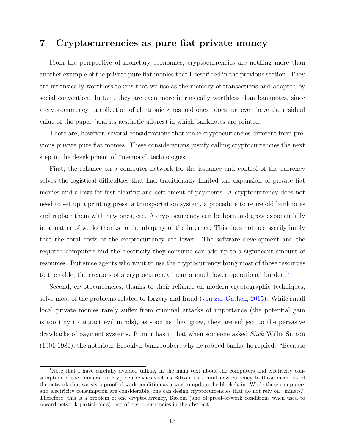#### <span id="page-13-0"></span>7 Cryptocurrencies as pure fiat private money

From the perspective of monetary economics, cryptocurrencies are nothing more than another example of the private pure fiat monies that I described in the previous section. They are intrinsically worthless tokens that we use as the memory of transactions and adopted by social convention. In fact, they are even more intrinsically worthless than banknotes, since a cryptocurrency –a collection of electronic zeros and ones– does not even have the residual value of the paper (and its aesthetic allures) in which banknotes are printed.

There are, however, several considerations that make cryptocurrencies different from previous private pure fiat monies. These considerations justify calling cryptocurrencies the next step in the development of "memory" technologies.

First, the reliance on a computer network for the issuance and control of the currency solves the logistical difficulties that had traditionally limited the expansion of private fiat monies and allows for fast clearing and settlement of payments. A cryptocurrency does not need to set up a printing press, a transportation system, a procedure to retire old banknotes and replace them with new ones, etc. A cryptocurrency can be born and grow exponentially in a matter of weeks thanks to the ubiquity of the internet. This does not necessarily imply that the total costs of the cryptocurrency are lower. The software development and the required computers and the electricity they consume can add up to a significant amount of resources. But since agents who want to use the cryptocurrency bring most of those resources to the table, the creators of a cryptocurrency incur a much lower operational burden.<sup>[14](#page-13-1)</sup>

Second, cryptocurrencies, thanks to their reliance on modern cryptographic techniques, solve most of the problems related to forgery and fraud [\(von zur Gathen,](#page-23-6) [2015\)](#page-23-6). While small local private monies rarely suffer from criminal attacks of importance (the potential gain is too tiny to attract evil minds), as soon as they grow, they are subject to the pervasive drawbacks of payment systems. Rumor has it that when someone asked Slick Willie Sutton (1901-1980), the notorious Brooklyn bank robber, why he robbed banks, he replied: "Because

<span id="page-13-1"></span><sup>14</sup>Note that I have carefully avoided talking in the main text about the computers and electricity consumption of the "miners" in cryptocurrencies such as Bitcoin that mint new currency to those members of the network that satisfy a proof-of-work condition as a way to update the blockchain. While these computers and electricity consumption are considerable, one can design cryptocurrencies that do not rely on "miners." Therefore, this is a problem of one cryptocurrency, Bitcoin (and of proof-of-work conditions when used to reward network participants), not of cryptocurrencies in the abstract.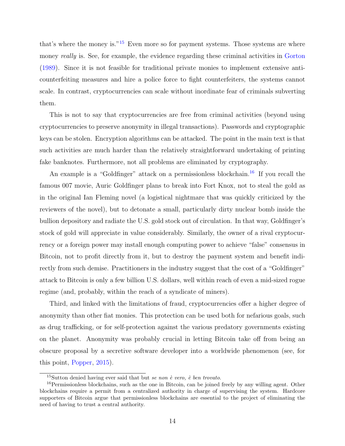that's where the money is."<sup>[15](#page-14-0)</sup> Even more so for payment systems. Those systems are where money *really* is. See, for example, the evidence regarding these criminal activities in [Gorton](#page-21-8) [\(1989\)](#page-21-8). Since it is not feasible for traditional private monies to implement extensive anticounterfeiting measures and hire a police force to fight counterfeiters, the systems cannot scale. In contrast, cryptocurrencies can scale without inordinate fear of criminals subverting them.

This is not to say that cryptocurrencies are free from criminal activities (beyond using cryptocurrencies to preserve anonymity in illegal transactions). Passwords and cryptographic keys can be stolen. Encryption algorithms can be attacked. The point in the main text is that such activities are much harder than the relatively straightforward undertaking of printing fake banknotes. Furthermore, not all problems are eliminated by cryptography.

An example is a "Goldfinger" attack on a permissionless blockchain.<sup>[16](#page-14-1)</sup> If you recall the famous 007 movie, Auric Goldfinger plans to break into Fort Knox, not to steal the gold as in the original Ian Fleming novel (a logistical nightmare that was quickly criticized by the reviewers of the novel), but to detonate a small, particularly dirty nuclear bomb inside the bullion depository and radiate the U.S. gold stock out of circulation. In that way, Goldfinger's stock of gold will appreciate in value considerably. Similarly, the owner of a rival cryptocurrency or a foreign power may install enough computing power to achieve "false" consensus in Bitcoin, not to profit directly from it, but to destroy the payment system and benefit indirectly from such demise. Practitioners in the industry suggest that the cost of a "Goldfinger" attack to Bitcoin is only a few billion U.S. dollars, well within reach of even a mid-sized rogue regime (and, probably, within the reach of a syndicate of miners).

Third, and linked with the limitations of fraud, cryptocurrencies offer a higher degree of anonymity than other fiat monies. This protection can be used both for nefarious goals, such as drug trafficking, or for self-protection against the various predatory governments existing on the planet. Anonymity was probably crucial in letting Bitcoin take off from being an obscure proposal by a secretive software developer into a worldwide phenomenon (see, for this point, [Popper,](#page-22-1) [2015\)](#page-22-1).

<span id="page-14-1"></span><span id="page-14-0"></span><sup>&</sup>lt;sup>15</sup>Sutton denied having ever said that but se non è vero, è ben trovato.

<sup>&</sup>lt;sup>16</sup>Permissionless blockchains, such as the one in Bitcoin, can be joined freely by any willing agent. Other blockchains require a permit from a centralized authority in charge of supervising the system. Hardcore supporters of Bitcoin argue that permissionless blockchains are essential to the project of eliminating the need of having to trust a central authority.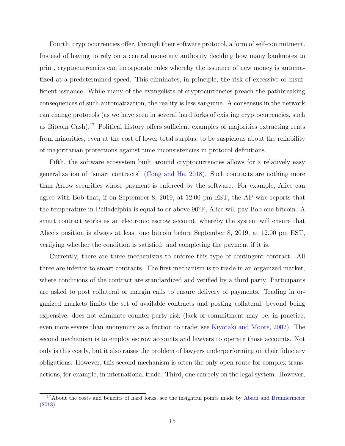Fourth, cryptocurrencies offer, through their software protocol, a form of self-commitment. Instead of having to rely on a central monetary authority deciding how many banknotes to print, cryptocurrencies can incorporate rules whereby the issuance of new money is automatized at a predetermined speed. This eliminates, in principle, the risk of excessive or insufficient issuance. While many of the evangelists of cryptocurrencies preach the pathbreaking consequences of such automatization, the reality is less sanguine. A consensus in the network can change protocols (as we have seen in several hard forks of existing cryptocurrencies, such as Bitcoin Cash).[17](#page-15-0) Political history offers sufficient examples of majorities extracting rents from minorities, even at the cost of lower total surplus, to be suspicious about the reliability of majoritarian protections against time inconsistencies in protocol definitions.

Fifth, the software ecosystem built around cryptocurrencies allows for a relatively easy generalization of "smart contracts" [\(Cong and He,](#page-20-11) [2018\)](#page-20-11). Such contracts are nothing more than Arrow securities whose payment is enforced by the software. For example, Alice can agree with Bob that, if on September 8, 2019, at 12.00 pm EST, the AP wire reports that the temperature in Philadelphia is equal to or above 90◦F, Alice will pay Bob one bitcoin. A smart contract works as an electronic escrow account, whereby the system will ensure that Alice's position is always at least one bitcoin before September 8, 2019, at 12.00 pm EST, verifying whether the condition is satisfied, and completing the payment if it is.

Currently, there are three mechanisms to enforce this type of contingent contract. All three are inferior to smart contracts. The first mechanism is to trade in an organized market, where conditions of the contract are standardized and verified by a third party. Participants are asked to post collateral or margin calls to ensure delivery of payments. Trading in organized markets limits the set of available contracts and posting collateral, beyond being expensive, does not eliminate counter-party risk (lack of commitment may be, in practice, even more severe than anonymity as a friction to trade; see [Kiyotaki and Moore,](#page-21-9) [2002\)](#page-21-9). The second mechanism is to employ escrow accounts and lawyers to operate those accounts. Not only is this costly, but it also raises the problem of lawyers underperforming on their fiduciary obligations. However, this second mechanism is often the only open route for complex transactions, for example, in international trade. Third, one can rely on the legal system. However,

<span id="page-15-0"></span><sup>&</sup>lt;sup>17</sup>About the costs and benefits of hard forks, see the insightful points made by [Abadi and Brunnermeier](#page-20-3) [\(2018\)](#page-20-3).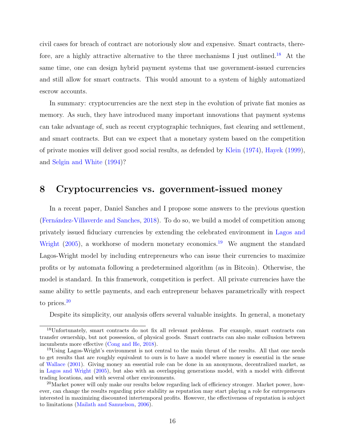civil cases for breach of contract are notoriously slow and expensive. Smart contracts, therefore, are a highly attractive alternative to the three mechanisms I just outlined.[18](#page-16-1) At the same time, one can design hybrid payment systems that use government-issued currencies and still allow for smart contracts. This would amount to a system of highly automatized escrow accounts.

In summary: cryptocurrencies are the next step in the evolution of private fiat monies as memory. As such, they have introduced many important innovations that payment systems can take advantage of, such as recent cryptographic techniques, fast clearing and settlement, and smart contracts. But can we expect that a monetary system based on the competition of private monies will deliver good social results, as defended by [Klein](#page-22-8) [\(1974\)](#page-22-8), [Hayek](#page-21-0) [\(1999\)](#page-21-0), and [Selgin and White](#page-23-4) [\(1994\)](#page-23-4)?

#### <span id="page-16-0"></span>8 Cryptocurrencies vs. government-issued money

In a recent paper, Daniel Sanches and I propose some answers to the previous question [\(Fern´andez-Villaverde and Sanches,](#page-21-1) [2018\)](#page-21-1). To do so, we build a model of competition among privately issued fiduciary currencies by extending the celebrated environment in [Lagos and](#page-22-9) [Wright](#page-22-9)  $(2005)$ , a workhorse of modern monetary economics.<sup>[19](#page-16-2)</sup> We augment the standard Lagos-Wright model by including entrepreneurs who can issue their currencies to maximize profits or by automata following a predetermined algorithm (as in Bitcoin). Otherwise, the model is standard. In this framework, competition is perfect. All private currencies have the same ability to settle payments, and each entrepreneur behaves parametrically with respect to prices.[20](#page-16-3)

Despite its simplicity, our analysis offers several valuable insights. In general, a monetary

<span id="page-16-1"></span><sup>18</sup>Unfortunately, smart contracts do not fix all relevant problems. For example, smart contracts can transfer ownership, but not possession, of physical goods. Smart contracts can also make collusion between incumbents more effective [\(Cong and He,](#page-20-11) [2018\)](#page-20-11).

<span id="page-16-2"></span><sup>19</sup>Using Lagos-Wright's environment is not central to the main thrust of the results. All that one needs to get results that are roughly equivalent to ours is to have a model where money is essential in the sense of [Wallace](#page-23-1) [\(2001\)](#page-23-1). Giving money an essential role can be done in an anonymous, decentralized market, as in [Lagos and Wright](#page-22-9) [\(2005\)](#page-22-9), but also with an overlapping generations model, with a model with different trading locations, and with several other environments.

<span id="page-16-3"></span> $^{20}$ Market power will only make our results below regarding lack of efficiency stronger. Market power, however, can change the results regarding price stability as reputation may start playing a role for entrepreneurs interested in maximizing discounted intertemporal profits. However, the effectiveness of reputation is subject to limitations [\(Mailath and Samuelson,](#page-22-10) [2006\)](#page-22-10).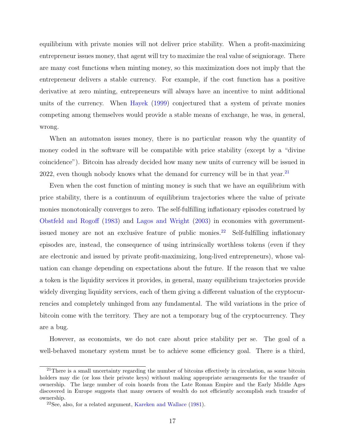equilibrium with private monies will not deliver price stability. When a profit-maximizing entrepreneur issues money, that agent will try to maximize the real value of seigniorage. There are many cost functions when minting money, so this maximization does not imply that the entrepreneur delivers a stable currency. For example, if the cost function has a positive derivative at zero minting, entrepreneurs will always have an incentive to mint additional units of the currency. When [Hayek](#page-21-0) [\(1999\)](#page-21-0) conjectured that a system of private monies competing among themselves would provide a stable means of exchange, he was, in general, wrong.

When an automaton issues money, there is no particular reason why the quantity of money coded in the software will be compatible with price stability (except by a "divine coincidence"). Bitcoin has already decided how many new units of currency will be issued in 2022, even though nobody knows what the demand for currency will be in that year.<sup>[21](#page-17-0)</sup>

Even when the cost function of minting money is such that we have an equilibrium with price stability, there is a continuum of equilibrium trajectories where the value of private monies monotonically converges to zero. The self-fulfilling inflationary episodes construed by [Obstfeld and Rogoff](#page-22-11) [\(1983\)](#page-22-11) and [Lagos and Wright](#page-22-12) [\(2003\)](#page-22-12) in economies with government-issued money are not an exclusive feature of public monies.<sup>[22](#page-17-1)</sup> Self-fulfilling inflationary episodes are, instead, the consequence of using intrinsically worthless tokens (even if they are electronic and issued by private profit-maximizing, long-lived entrepreneurs), whose valuation can change depending on expectations about the future. If the reason that we value a token is the liquidity services it provides, in general, many equilibrium trajectories provide widely diverging liquidity services, each of them giving a different valuation of the cryptocurrencies and completely unhinged from any fundamental. The wild variations in the price of bitcoin come with the territory. They are not a temporary bug of the cryptocurrency. They are a bug.

However, as economists, we do not care about price stability per se. The goal of a well-behaved monetary system must be to achieve some efficiency goal. There is a third,

<span id="page-17-0"></span><sup>&</sup>lt;sup>21</sup>There is a small uncertainty regarding the number of bitcoins effectively in circulation, as some bitcoin holders may die (or loss their private keys) without making appropriate arrangements for the transfer of ownership. The large number of coin hoards from the Late Roman Empire and the Early Middle Ages discovered in Europe suggests that many owners of wealth do not efficiently accomplish such transfer of ownership.

<span id="page-17-1"></span> $22$ See, also, for a related argument, [Kareken and Wallace](#page-21-10) [\(1981\)](#page-21-10).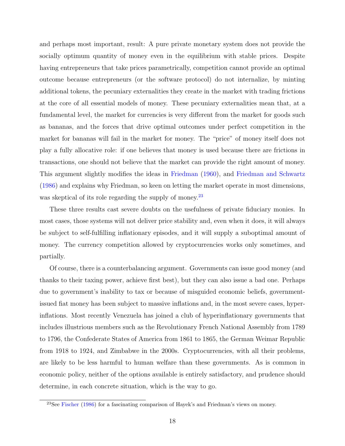and perhaps most important, result: A pure private monetary system does not provide the socially optimum quantity of money even in the equilibrium with stable prices. Despite having entrepreneurs that take prices parametrically, competition cannot provide an optimal outcome because entrepreneurs (or the software protocol) do not internalize, by minting additional tokens, the pecuniary externalities they create in the market with trading frictions at the core of all essential models of money. These pecuniary externalities mean that, at a fundamental level, the market for currencies is very different from the market for goods such as bananas, and the forces that drive optimal outcomes under perfect competition in the market for bananas will fail in the market for money. The "price" of money itself does not play a fully allocative role: if one believes that money is used because there are frictions in transactions, one should not believe that the market can provide the right amount of money. This argument slightly modifies the ideas in [Friedman](#page-21-11) [\(1960\)](#page-21-11), and [Friedman and Schwartz](#page-21-12) [\(1986\)](#page-21-12) and explains why Friedman, so keen on letting the market operate in most dimensions, was skeptical of its role regarding the supply of money.<sup>[23](#page-18-0)</sup>

These three results cast severe doubts on the usefulness of private fiduciary monies. In most cases, those systems will not deliver price stability and, even when it does, it will always be subject to self-fulfilling inflationary episodes, and it will supply a suboptimal amount of money. The currency competition allowed by cryptocurrencies works only sometimes, and partially.

Of course, there is a counterbalancing argument. Governments can issue good money (and thanks to their taxing power, achieve first best), but they can also issue a bad one. Perhaps due to government's inability to tax or because of misguided economic beliefs, governmentissued fiat money has been subject to massive inflations and, in the most severe cases, hyperinflations. Most recently Venezuela has joined a club of hyperinflationary governments that includes illustrious members such as the Revolutionary French National Assembly from 1789 to 1796, the Confederate States of America from 1861 to 1865, the German Weimar Republic from 1918 to 1924, and Zimbabwe in the 2000s. Cryptocurrencies, with all their problems, are likely to be less harmful to human welfare than these governments. As is common in economic policy, neither of the options available is entirely satisfactory, and prudence should determine, in each concrete situation, which is the way to go.

<span id="page-18-0"></span><sup>23</sup>See [Fischer](#page-21-13) [\(1986\)](#page-21-13) for a fascinating comparison of Hayek's and Friedman's views on money.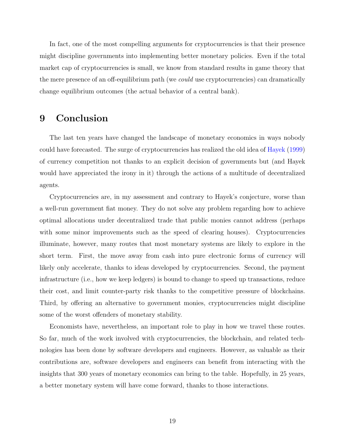In fact, one of the most compelling arguments for cryptocurrencies is that their presence might discipline governments into implementing better monetary policies. Even if the total market cap of cryptocurrencies is small, we know from standard results in game theory that the mere presence of an off-equilibrium path (we *could* use cryptocurrencies) can dramatically change equilibrium outcomes (the actual behavior of a central bank).

### 9 Conclusion

The last ten years have changed the landscape of monetary economics in ways nobody could have forecasted. The surge of cryptocurrencies has realized the old idea of [Hayek](#page-21-0) [\(1999\)](#page-21-0) of currency competition not thanks to an explicit decision of governments but (and Hayek would have appreciated the irony in it) through the actions of a multitude of decentralized agents.

Cryptocurrencies are, in my assessment and contrary to Hayek's conjecture, worse than a well-run government fiat money. They do not solve any problem regarding how to achieve optimal allocations under decentralized trade that public monies cannot address (perhaps with some minor improvements such as the speed of clearing houses). Cryptocurrencies illuminate, however, many routes that most monetary systems are likely to explore in the short term. First, the move away from cash into pure electronic forms of currency will likely only accelerate, thanks to ideas developed by cryptocurrencies. Second, the payment infrastructure (i.e., how we keep ledgers) is bound to change to speed up transactions, reduce their cost, and limit counter-party risk thanks to the competitive pressure of blockchains. Third, by offering an alternative to government monies, cryptocurrencies might discipline some of the worst offenders of monetary stability.

Economists have, nevertheless, an important role to play in how we travel these routes. So far, much of the work involved with cryptocurrencies, the blockchain, and related technologies has been done by software developers and engineers. However, as valuable as their contributions are, software developers and engineers can benefit from interacting with the insights that 300 years of monetary economics can bring to the table. Hopefully, in 25 years, a better monetary system will have come forward, thanks to those interactions.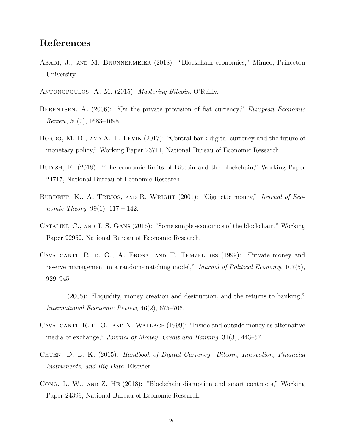#### References

- <span id="page-20-3"></span>Abadi, J., and M. Brunnermeier (2018): "Blockchain economics," Mimeo, Princeton University.
- <span id="page-20-1"></span>Antonopoulos, A. M. (2015): Mastering Bitcoin. O'Reilly.
- <span id="page-20-10"></span>BERENTSEN, A. (2006): "On the private provision of fiat currency," *European Economic* Review, 50(7), 1683–1698.
- <span id="page-20-2"></span>BORDO, M. D., AND A. T. LEVIN (2017): "Central bank digital currency and the future of monetary policy," Working Paper 23711, National Bureau of Economic Research.
- <span id="page-20-4"></span>Budish, E. (2018): "The economic limits of Bitcoin and the blockchain," Working Paper 24717, National Bureau of Economic Research.
- <span id="page-20-6"></span>BURDETT, K., A. TREJOS, AND R. WRIGHT (2001): "Cigarette money," Journal of Economic Theory, 99(1),  $117 - 142$ .
- <span id="page-20-5"></span>Catalini, C., and J. S. Gans (2016): "Some simple economics of the blockchain," Working Paper 22952, National Bureau of Economic Research.
- <span id="page-20-7"></span>Cavalcanti, R. d. O., A. Erosa, and T. Temzelides (1999): "Private money and reserve management in a random-matching model," Journal of Political Economy, 107(5), 929–945.

- <span id="page-20-9"></span>CAVALCANTI, R. D. O., AND N. WALLACE  $(1999)$ : "Inside and outside money as alternative media of exchange," Journal of Money, Credit and Banking, 31(3), 443–57.
- <span id="page-20-0"></span>Chuen, D. L. K. (2015): Handbook of Digital Currency: Bitcoin, Innovation, Financial Instruments, and Big Data. Elsevier.
- <span id="page-20-11"></span>Cong, L. W., and Z. He (2018): "Blockchain disruption and smart contracts," Working Paper 24399, National Bureau of Economic Research.

<span id="page-20-8"></span><sup>(2005): &</sup>quot;Liquidity, money creation and destruction, and the returns to banking," International Economic Review, 46(2), 675–706.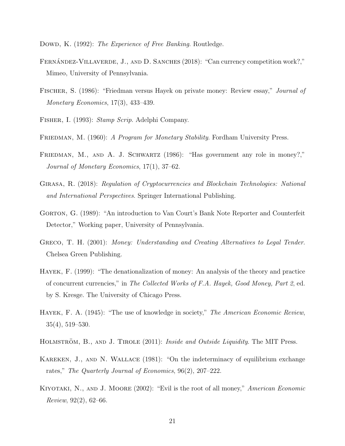<span id="page-21-6"></span>DOWD, K. (1992): The Experience of Free Banking. Routledge.

- <span id="page-21-1"></span>FERNÁNDEZ-VILLAVERDE, J., AND D. SANCHES (2018): "Can currency competition work?," Mimeo, University of Pennsylvania.
- <span id="page-21-13"></span>Fischer, S. (1986): "Friedman versus Hayek on private money: Review essay," Journal of Monetary Economics, 17(3), 433–439.
- <span id="page-21-4"></span>Fisher, I. (1993): Stamp Scrip. Adelphi Company.
- <span id="page-21-11"></span>FRIEDMAN, M. (1960): A Program for Monetary Stability. Fordham University Press.
- <span id="page-21-12"></span>FRIEDMAN, M., AND A. J. SCHWARTZ (1986): "Has government any role in money?," Journal of Monetary Economics, 17(1), 37–62.
- <span id="page-21-2"></span>GIRASA, R. (2018): Regulation of Cryptocurrencies and Blockchain Technologies: National and International Perspectives. Springer International Publishing.
- <span id="page-21-8"></span>Gorton, G. (1989): "An introduction to Van Court's Bank Note Reporter and Counterfeit Detector," Working paper, University of Pennsylvania.
- <span id="page-21-5"></span>GRECO, T. H. (2001): Money: Understanding and Creating Alternatives to Legal Tender. Chelsea Green Publishing.
- <span id="page-21-0"></span>Hayek, F. (1999): "The denationalization of money: An analysis of the theory and practice of concurrent currencies," in The Collected Works of F.A. Hayek, Good Money, Part 2, ed. by S. Kresge. The University of Chicago Press.
- <span id="page-21-3"></span>HAYEK, F. A. (1945): "The use of knowledge in society," The American Economic Review, 35(4), 519–530.
- <span id="page-21-7"></span>HOLMSTRÖM, B., AND J. TIROLE (2011): *Inside and Outside Liquidity*. The MIT Press.
- <span id="page-21-10"></span>KAREKEN, J., AND N. WALLACE (1981): "On the indeterminacy of equilibrium exchange rates," The Quarterly Journal of Economics, 96(2), 207–222.
- <span id="page-21-9"></span>KIYOTAKI, N., AND J. MOORE (2002): "Evil is the root of all money," American Economic Review, 92(2), 62–66.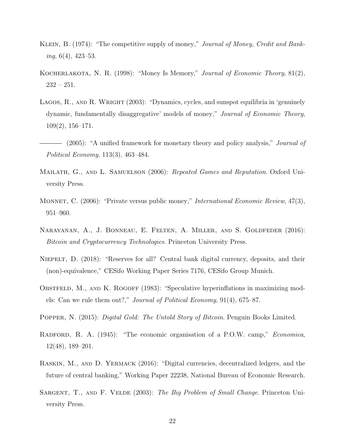- <span id="page-22-8"></span>KLEIN, B. (1974): "The competitive supply of money," *Journal of Money, Credit and Bank* $inq, 6(4), 423-53.$
- <span id="page-22-0"></span>KOCHERLAKOTA, N. R. (1998): "Money Is Memory," *Journal of Economic Theory*, 81(2),  $232 - 251.$
- <span id="page-22-12"></span>LAGOS, R., AND R. WRIGHT (2003): "Dynamics, cycles, and sunspot equilibria in 'genuinely dynamic, fundamentally disaggregative' models of money," Journal of Economic Theory, 109(2), 156–171.
- <span id="page-22-9"></span>- (2005): "A unified framework for monetary theory and policy analysis," *Journal of* Political Economy, 113(3), 463–484.
- <span id="page-22-10"></span>MAILATH, G., AND L. SAMUELSON (2006): Repeated Games and Reputation. Oxford University Press.
- <span id="page-22-7"></span>MONNET, C. (2006): "Private versus public money," *International Economic Review*, 47(3), 951–960.
- <span id="page-22-2"></span>Narayanan, A., J. Bonneau, E. Felten, A. Miller, and S. Goldfeder (2016): Bitcoin and Cryptocurrency Technologies. Princeton University Press.
- <span id="page-22-4"></span>Niepelt, D. (2018): "Reserves for all? Central bank digital currency, deposits, and their (non)-equivalence," CESifo Working Paper Series 7176, CESifo Group Munich.
- <span id="page-22-11"></span>OBSTFELD, M., AND K. ROGOFF (1983): "Speculative hyperinflations in maximizing models: Can we rule them out?," Journal of Political Economy, 91(4), 675–87.
- <span id="page-22-1"></span>POPPER, N. (2015): *Digital Gold: The Untold Story of Bitcoin*. Penguin Books Limited.
- <span id="page-22-5"></span>Radford, R. A. (1945): "The economic organisation of a P.O.W. camp," Economica, 12(48), 189–201.
- <span id="page-22-3"></span>Raskin, M., and D. Yermack (2016): "Digital currencies, decentralized ledgers, and the future of central banking," Working Paper 22238, National Bureau of Economic Research.
- <span id="page-22-6"></span>SARGENT, T., AND F. VELDE (2003): The Big Problem of Small Change. Princeton University Press.